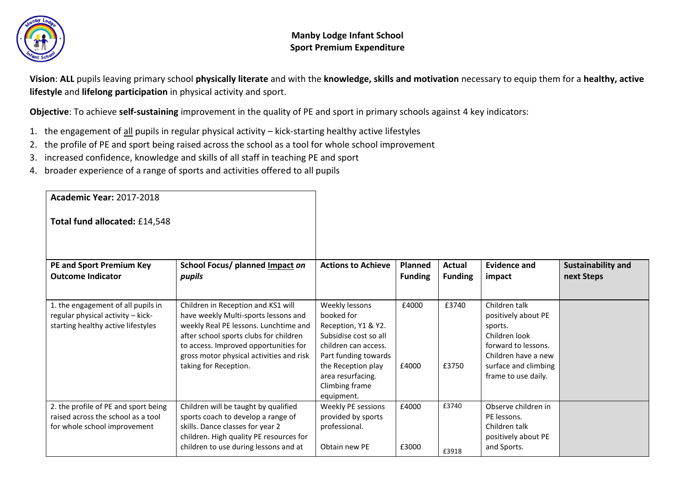

**Vision**: **ALL** pupils leaving primary school **physically literate** and with the **knowledge, skills and motivation** necessary to equip them for a **healthy, active lifestyle** and **lifelong participation** in physical activity and sport.

**Objective**: To achieve **self-sustaining** improvement in the quality of PE and sport in primary schools against 4 key indicators:

- 1. the engagement of all pupils in regular physical activity kick-starting healthy active lifestyles
- 2. the profile of PE and sport being raised across the school as a tool for whole school improvement
- 3. increased confidence, knowledge and skills of all staff in teaching PE and sport
- 4. broader experience of a range of sports and activities offered to all pupils

| <b>Academic Year: 2017-2018</b>                                                                               |                                                                                                                                                                                                                                                                             |                                                                                                                                                                                                         |                                  |                          |                                                                                                                                                               |                                  |
|---------------------------------------------------------------------------------------------------------------|-----------------------------------------------------------------------------------------------------------------------------------------------------------------------------------------------------------------------------------------------------------------------------|---------------------------------------------------------------------------------------------------------------------------------------------------------------------------------------------------------|----------------------------------|--------------------------|---------------------------------------------------------------------------------------------------------------------------------------------------------------|----------------------------------|
| Total fund allocated: £14,548                                                                                 |                                                                                                                                                                                                                                                                             |                                                                                                                                                                                                         |                                  |                          |                                                                                                                                                               |                                  |
| <b>PE and Sport Premium Key</b><br><b>Outcome Indicator</b>                                                   | School Focus/ planned Impact on<br>pupils                                                                                                                                                                                                                                   | <b>Actions to Achieve</b>                                                                                                                                                                               | <b>Planned</b><br><b>Funding</b> | Actual<br><b>Funding</b> | <b>Evidence and</b><br>impact                                                                                                                                 | Sustainability and<br>next Steps |
| 1. the engagement of all pupils in<br>regular physical activity - kick-<br>starting healthy active lifestyles | Children in Reception and KS1 will<br>have weekly Multi-sports lessons and<br>weekly Real PE lessons. Lunchtime and<br>after school sports clubs for children<br>to access. Improved opportunities for<br>gross motor physical activities and risk<br>taking for Reception. | Weekly lessons<br>booked for<br>Reception, Y1 & Y2.<br>Subsidise cost so all<br>children can access.<br>Part funding towards<br>the Reception play<br>area resurfacing.<br>Climbing frame<br>equipment. | £4000<br>£4000                   | £3740<br>£3750           | Children talk<br>positively about PE<br>sports.<br>Children look<br>forward to lessons.<br>Children have a new<br>surface and climbing<br>frame to use daily. |                                  |
| 2. the profile of PE and sport being<br>raised across the school as a tool<br>for whole school improvement    | Children will be taught by qualified<br>sports coach to develop a range of<br>skills. Dance classes for year 2<br>children. High quality PE resources for<br>children to use during lessons and at                                                                          | Weekly PE sessions<br>provided by sports<br>professional.<br>Obtain new PE                                                                                                                              | £4000<br>£3000                   | £3740<br>£3918           | Observe children in<br>PE lessons.<br>Children talk<br>positively about PE<br>and Sports.                                                                     |                                  |